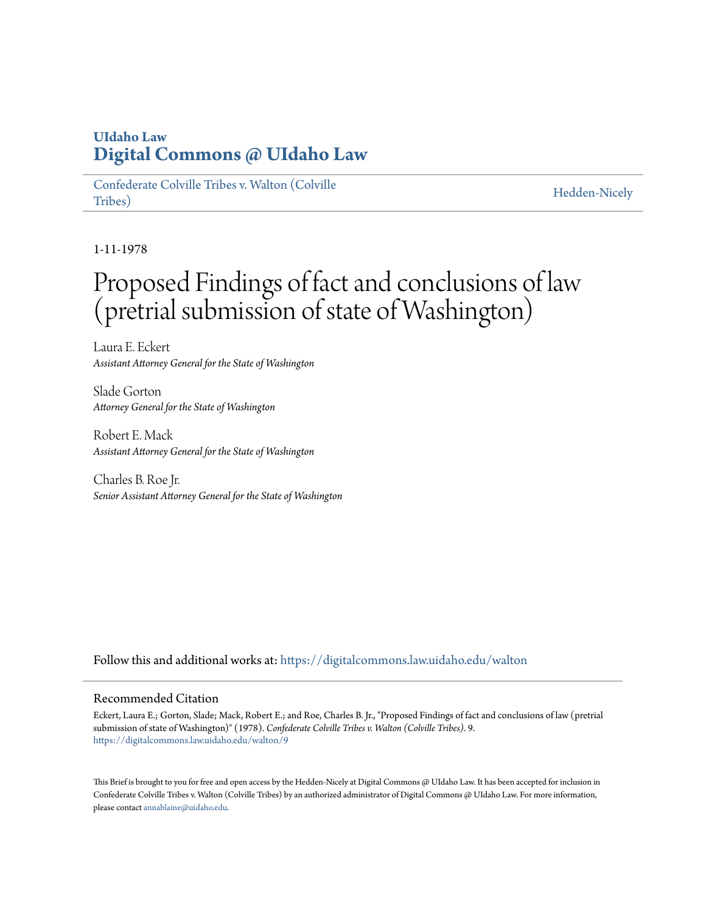## **UIdaho Law [Digital Commons @ UIdaho Law](https://digitalcommons.law.uidaho.edu?utm_source=digitalcommons.law.uidaho.edu%2Fwalton%2F9&utm_medium=PDF&utm_campaign=PDFCoverPages)**

[Confederate Colville Tribes v. Walton \(Colville](https://digitalcommons.law.uidaho.edu/walton?utm_source=digitalcommons.law.uidaho.edu%2Fwalton%2F9&utm_medium=PDF&utm_campaign=PDFCoverPages) [Tribes\)](https://digitalcommons.law.uidaho.edu/walton?utm_source=digitalcommons.law.uidaho.edu%2Fwalton%2F9&utm_medium=PDF&utm_campaign=PDFCoverPages)

[Hedden-Nicely](https://digitalcommons.law.uidaho.edu/hedden-nicely?utm_source=digitalcommons.law.uidaho.edu%2Fwalton%2F9&utm_medium=PDF&utm_campaign=PDFCoverPages)

1-11-1978

# Proposed Findings of fact and conclusions of law (pretrial submission of state of Washington)

Laura E. Eckert *Assistant Attorney General for the State of Washington*

Slade Gorton *Attorney General for the State of Washington*

Robert E. Mack *Assistant Attorney General for the State of Washington*

Charles B. Roe Jr. *Senior Assistant Attorney General for the State of Washington*

Follow this and additional works at: [https://digitalcommons.law.uidaho.edu/walton](https://digitalcommons.law.uidaho.edu/walton?utm_source=digitalcommons.law.uidaho.edu%2Fwalton%2F9&utm_medium=PDF&utm_campaign=PDFCoverPages)

#### Recommended Citation

Eckert, Laura E.; Gorton, Slade; Mack, Robert E.; and Roe, Charles B. Jr., "Proposed Findings of fact and conclusions of law (pretrial submission of state of Washington)" (1978). *Confederate Colville Tribes v. Walton (Colville Tribes)*. 9. [https://digitalcommons.law.uidaho.edu/walton/9](https://digitalcommons.law.uidaho.edu/walton/9?utm_source=digitalcommons.law.uidaho.edu%2Fwalton%2F9&utm_medium=PDF&utm_campaign=PDFCoverPages)

This Brief is brought to you for free and open access by the Hedden-Nicely at Digital Commons @ UIdaho Law. It has been accepted for inclusion in Confederate Colville Tribes v. Walton (Colville Tribes) by an authorized administrator of Digital Commons @ UIdaho Law. For more information, please contact [annablaine@uidaho.edu](mailto:annablaine@uidaho.edu).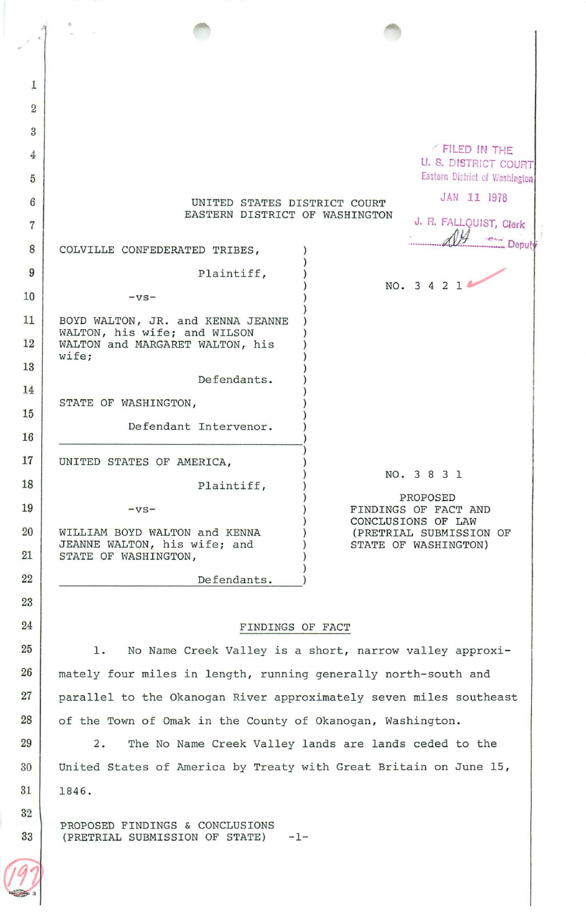| 1              |                                                                |                                   |                        |                                                 |
|----------------|----------------------------------------------------------------|-----------------------------------|------------------------|-------------------------------------------------|
| $\overline{2}$ |                                                                |                                   |                        |                                                 |
| 3              |                                                                |                                   |                        |                                                 |
| $\overline{4}$ |                                                                |                                   |                        | FILED IN THE<br>U. S. DISTRICT COURT            |
| $\overline{5}$ |                                                                |                                   |                        | Eastern District of Washington                  |
| 6              | UNITED STATES DISTRICT COURT<br>EASTERN DISTRICT OF WASHINGTON |                                   | JAN 11 1978            |                                                 |
| 7              |                                                                |                                   | J. R. FALLQUIST, Clerk |                                                 |
| 8              | COLVILLE CONFEDERATED TRIBES,                                  |                                   |                        | Deput                                           |
| 9              |                                                                | Plaintiff,                        |                        | NO. 3 4 2 1                                     |
| 10             | $-vs-$                                                         |                                   |                        |                                                 |
| 11             | WALTON, his wife; and WILSON                                   | BOYD WALTON, JR. and KENNA JEANNE |                        |                                                 |
| 12             | wife;                                                          | WALTON and MARGARET WALTON, his   |                        |                                                 |
| 13             |                                                                | Defendants.                       |                        |                                                 |
| 14             | STATE OF WASHINGTON,                                           |                                   |                        |                                                 |
| 15             | Defendant Intervenor.                                          |                                   |                        |                                                 |
| 16             |                                                                |                                   |                        |                                                 |
| 17             | UNITED STATES OF AMERICA,                                      |                                   |                        | NO. 3 8 3 1                                     |
| 18             |                                                                | Plaintiff,                        |                        | PROPOSED                                        |
| 19             | $-vs-$                                                         |                                   |                        | FINDINGS OF FACT AND<br>CONCLUSIONS OF LAW      |
| 20             | WILLIAM BOYD WALTON and KENNA<br>JEANNE WALTON, his wife; and  |                                   |                        | (PRETRIAL SUBMISSION OF<br>STATE OF WASHINGTON) |
| 21             | STATE OF WASHINGTON,                                           |                                   |                        |                                                 |
| 22             |                                                                | Defendants.                       |                        |                                                 |
| 23             |                                                                |                                   |                        |                                                 |
| 24             |                                                                | FINDINGS OF FACT                  |                        |                                                 |

25 1. No Name Creek Valley is a short, narrow valley approxi-26 mately four miles in length, running generally north-south and 27 parallel to the Okanogan River approximately seven miles southeast 28 of the Town of Omak in the County of Okanogan, Washington.

29 2. The No Name Creek Valley lands are lands ceded to the 30 United States of America by Treaty with Great Britain on June 15, 31 1 846.

PROPOSED FINDINGS & CONCLUSIONS 33 (PRETRIAL SUBMISSION OF STATE) -1-

32

..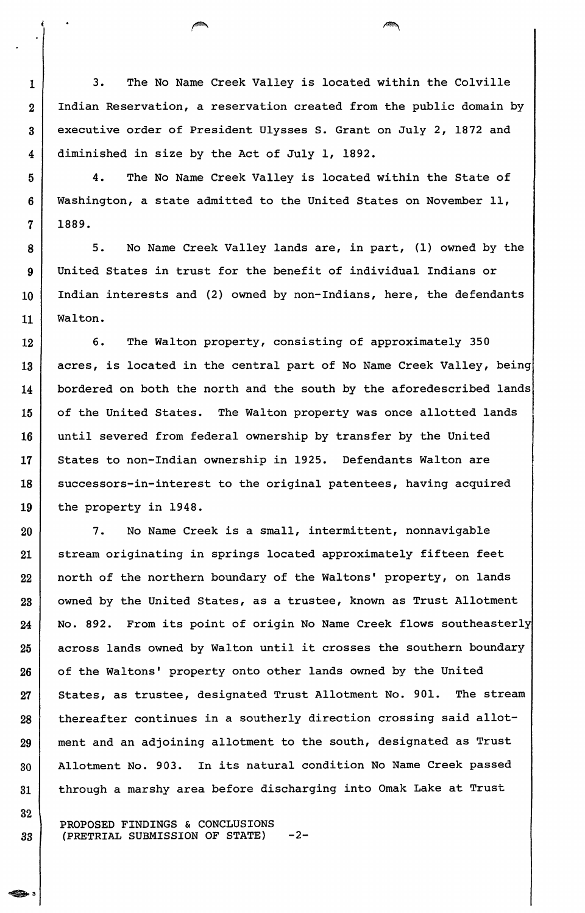3. The No Name Creek Valley is located within the Colville 2 Indian Reservation, a reservation created from the public domain by 3 executive order of President Ulysses S. Grant on July 2, 1872 and 4 diminished in size by the Act of July 1, 1892.

5 4. The No Name Creek Valley is located within the State of 6 Washington, a state admitted to the United States on November 11,  $7 \mid 1889.$ 

8 5. No Name Creek Valley lands are, in part, (1) owned by the 9 United States *in* trust for the benefit of individual Indians or 10 | Indian interests and (2) owned by non-Indians, here, the defendants 11 Walton.

12 6. The Walton property, consisting of approximately 350 13 acres, is located in the central part of No Name Creek Valley, being 14 | bordered on both the north and the south by the aforedescribed lands 15 | of the United States. The Walton property was once allotted lands 16 | until severed from federal ownership by transfer by the United 17 | States to non-Indian ownership in 1925. Defendants Walton are 18 successors-in-interest to the original patentees, having acquired 19 | the property in 1948.

20 7. No Name Creek is a small, intermittent, nonnavigable 21 stream originating *in* springs located approximately fifteen feet 22 | north of the northern boundary of the Waltons' property, on lands 23 | owned by the United States, as a trustee, known as Trust Allotment 24 | No. 892. From its point of origin No Name Creek flows southeasterly 25 | across lands owned by Walton until it crosses the southern boundary 26 of the Waltons' property onto other lands owned by the United 27 States, as trustee, designated Trust Allotment No. 901. The stream 28 thereafter continues in a southerly direction crossing said allot-29 ment and an adjoining allotment to the south, designated as Trust 30 Allotment No. 903. In its natural condition No Name Creek passed 31 through a marshy area before discharging into Omak Lake at Trust

PROPOSED FINDINGS & CONCLUSIONS 88 (PRETRIAL SUBMISSION OF STATE) -2-

32

1

i I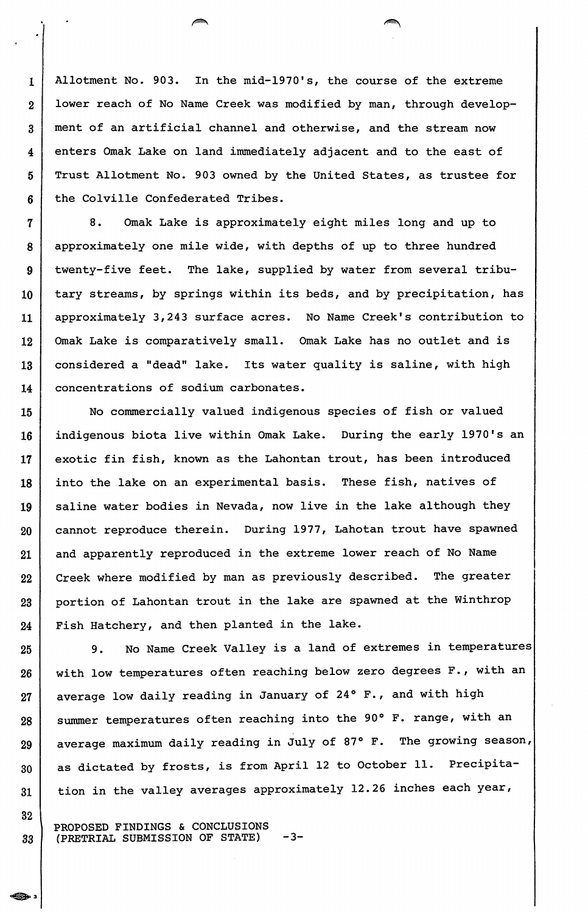1 Allotment No. 903. In the mid-1970's, the course of the extreme 2 lower reach of No Name Creek was modified by man, through develop-3 ment of an artificial channel and otherwise, and the stream now 4 enters Omak Lake on land immediately adjacent and to the east of 5 Trust Allotment No. 903 owned by the United States, as trustee for 6 the Colville Confederated Tribes.

<sup>7</sup>8. Omak Lake is approximately eight miles long and up to 8 | approximately one mile wide, with depths of up to three hundred 9 twenty-five feet. The lake, supplied by water from several tribu-10 tary streams, by springs within its beds, and by precipitation, has 11 approximately 3,243 surface acres. No Name Creek's contribution to 12 Omak Lake is comparatively small. Omak Lake has no outlet and is 13 | considered a "dead" lake. Its water quality is saline, with high 14 concentrations of sodium carbonates.

15 No commercially valued indigenous species of fish or valued 16 indigenous biota live within Omak Lake. During the early 1970's an 17 exotic fin fish, known as the Lahontan trout, has been introduced 18 into the lake on an experimental basis. These fish, natives of 19 saline water bodies in Nevada, now live in the lake although they 20 cannot reproduce therein. During 1977, Lahotan trout have spawned 21 and apparently reproduced in the extreme lower reach of No Name 22 Creek where modified by man as previously described. The greater 23 portion of Lahontan trout in the lake are spawned at the Winthrop 24 Fish Hatchery, and then planted in the lake.

25 | 9. No Name Creek Valley is a land of extremes in temperatures 26 | with low temperatures often reaching below zero degrees F., with an 27 | average low daily reading in January of 24° F., and with high 28 | summer temperatures often reaching into the 90° F. range, with an  $29$  average maximum daily reading in July of 87° F. The growing season,  $30$  as dictated by frosts, is from April 12 to October 11. Precipita- $31$  tion in the valley averages approximately 12.26 inches each year,

PROPOSED FINDINGS & CONCLUSIONS 33 (PRETRIAL SUBMISSION OF STATE) -3-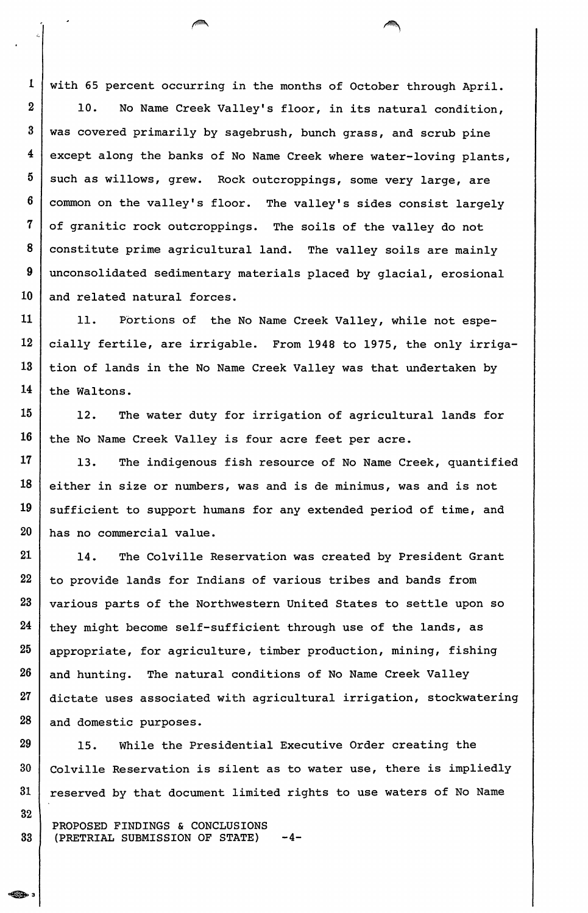1 with 65 percent occurring in the months of October through April.

2 10. No Name Creek Valley's floor, in its natural condition, 3 | was covered primarily by sagebrush, bunch grass, and scrub pine 4 except along the banks of No Name Creek where water-loving plants,  $5$  such as willows, grew. Rock outcroppings, some very large, are  $6$  common on the valley's floor. The valley's sides consist largely  $7$  of granitic rock outcroppings. The soils of the valley do not 8 constitute prime agricultural land. The valley soils are mainly 9 unconsolidated sedimentary materials placed by glacial, erosional  $10$  and related natural forces.

11 | 11. Portions of the No Name Creek Valley, while not espe- $12$  cially fertile, are irrigable. From 1948 to 1975, the only irriga-13 tion of lands in the No Name Creek Valley was that undertaken by  $14$  the Waltons.

15 | 12. The water duty for irrigation of agricultural lands for 16 the No Name Creek Valley is four acre feet per acre.

17 13. The indigenous fish resource of No Name Creek, quantified 18 either in size or numbers, was and *is* de minimus, was and is not  $19$  sufficient to support humans for any extended period of time, and  $20$  has no commercial value.

21 | 14. The Colville Reservation was created by President Grant to provide lands for Indians of various tribes and bands from 23 various parts of the Northwestern United States to settle upon so they might become self-sufficient through use of the lands, as appropriate, for agriculture, timber production, mining, fishing and hunting. The natural conditions of No Name Creek Valley dictate uses associated with agricultural irrigation, stockwatering 28 and domestic purposes.

29 15. While the Presidential Executive Order creating the  $30$  Colville Reservation is silent as to water use, there is impliedly  $31$   $|$  reserved by that document limited rights to use waters of No Name

PROPOSED FINDINGS & CONCLUSIONS 33 (PRETRIAL SUBMISSION OF STATE) -4-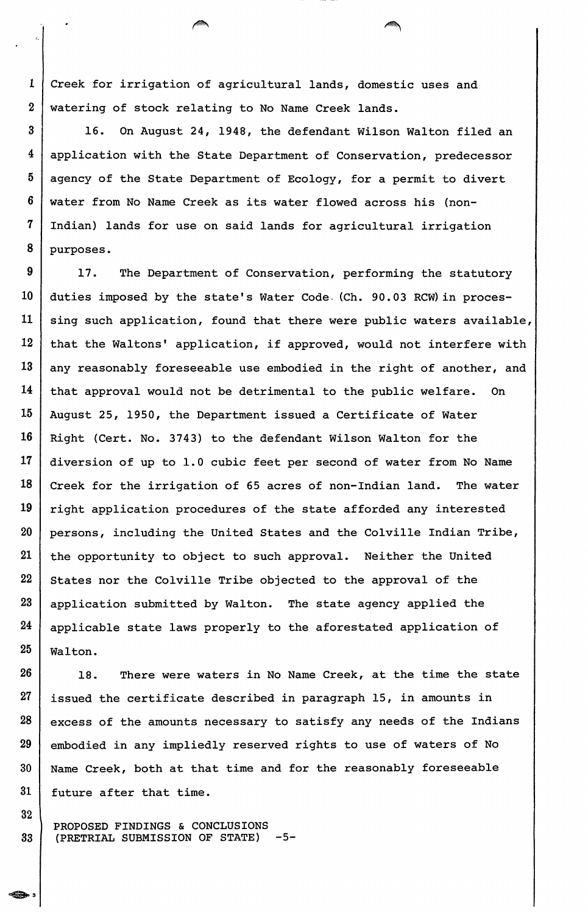1 Creek for irrigation of agricultural lands, domestic uses and 2 watering of stock relating to No Name Creek lands.

3 16. On August 24, 1948, the defendant Wilson Walton filed an 4 application with the State Department of Conservation, predecessor  $5$  agency of the State Department of Ecology, for a permit to divert 6 water from No Name Creek as its water flowed across his (non-<sup>7</sup>Indian) lands for use on said lands for agricultural irrigation 8 purposes.

9 17. The Department of Conservation, performing the statutory 10 duties imposed by the state's Water Code. (Ch. 90.03 RCW) in proces- $11$  sing such application, found that there were public waters available,  $12$  that the Waltons' application, if approved, would not interfere with 13 | any reasonably foreseeable use embodied in the right of another, and 14 that approval would not be detrimental to the public welfare. On 15 | August 25, 1950, the Department issued a Certificate of Water 16 Right (Cert. No. 3743) to the defendant Wilson Walton for the 17 diversion of up to 1.0 cubic feet per second of water from No Name 18 Creek for the irrigation of 65 acres of non-Indian land. The water 19 | right application procedures of the state afforded any interested 20 persons, including the United States and the Colville Indian Tribe, 21 the opportunity to object to such approval. Neither the United  $22$  States nor the Colville Tribe objected to the approval of the 23 | application submitted by Walton. The state agency applied the  $24$  applicable state laws properly to the aforestated application of  $25$  | Walton.

26 18. There were waters in No Name Creek, at the time the state  $27$  issued the certificate described in paragraph 15, in amounts in  $28$  excess of the amounts necessary to satisfy any needs of the Indians 29 embodied in any impliedly reserved rights to use of waters of No 30 Name Creek, both at that time and for the reasonably foreseeable 31 future after that time.

PROPOSED FINDINGS & CONCLUSIONS 33 (PRETRIAL SUBMISSION OF STATE) -5-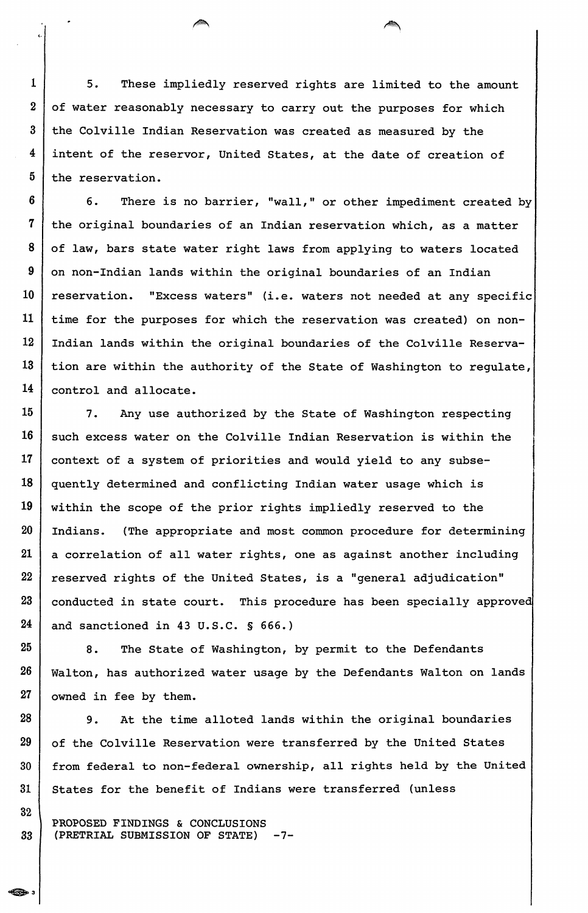1 | 5. These impliedly reserved rights are limited to the amount  $2$  of water reasonably necessary to carry out the purposes for which 3 the Colville Indian Reservation was created as measured by the 4 intent of the reservor, United States, at the date of creation of  $5$  the reservation.

6 6. There is no barrier, "wall," or other impediment created by 7 | the original boundaries of an Indian reservation which, as a matter 8 of law, bars state water right laws from applying to waters located  $9$  on non-Indian lands within the original boundaries of an Indian 10 | reservation. "Excess waters" (i.e. waters not needed at any specific 11 time for the purposes for which the reservation was created) on non-12 | Indian lands within the original boundaries of the Colville Reserva- $13$  tion are within the authority of the State of Washington to regulate, 14 control and allocate.

15 | T. Any use authorized by the State of Washington respecting  $16$  such excess water on the Colville Indian Reservation is within the 17 context of a system of priorities and would yield to any subse-18 quently determined and conflicting Indian water usage which is  $19$  within the scope of the prior rights impliedly reserved to the 20 Indians. (The appropriate and most common procedure for determining  $21$  a correlation of all water rights, one as against another including  $22$  reserved rights of the United States, is a "general adjudication"  $23$  conducted in state court. This procedure has been specially approved  $24$  and sanctioned in 43 U.S.C. § 666.)

 $25$  | 8. The State of Washington, by permit to the Defendants  $26$  Walton, has authorized water usage by the Defendants Walton on lands 27 | owned in fee by them.

28 | 9. At the time alloted lands within the original boundaries 29 of the Colville Reservation were transferred by the United States 30 from federal to non-federal ownership, all rights held by the United 31 | States for the benefit of Indians were transferred (unless

PROPOSED FINDINGS & CONCLUSIONS 33 (PRETRIAL SUBMISSION OF STATE) -7-

32

<-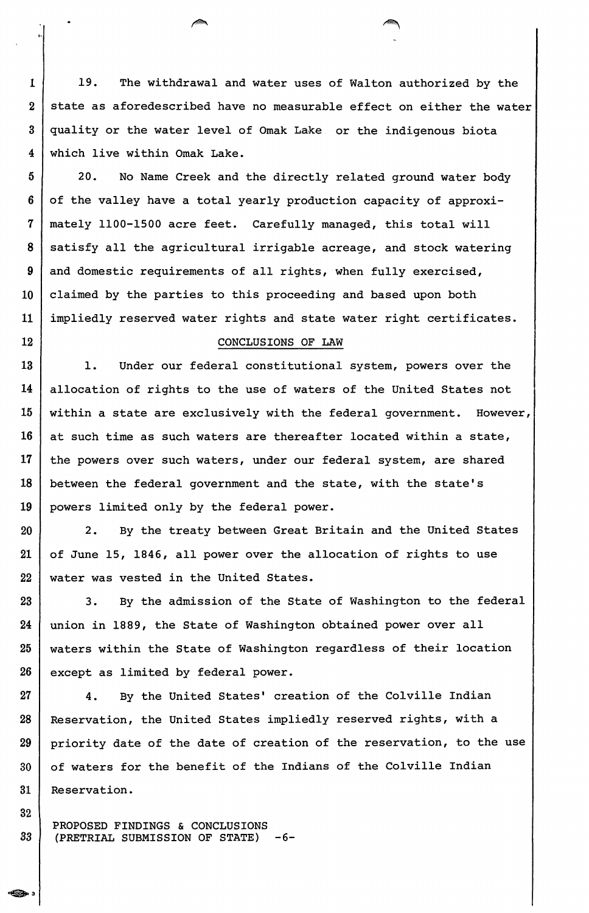1 19. The withdrawal and water uses of Walton authorized by the 2 state as aforedescribed have no measurable effect on either the water 3 quality or the water level of Omak Lake or the indigenous biota 4 which live within Omak Lake.

5 20. No Name Creek and the directly related ground water body  $6$  of the valley have a total yearly production capacity of approxi-7 | mately 1100-1500 acre feet. Carefully managed, this total will 8 | satisfy all the agricultural irrigable acreage, and stock watering 9 and domestic requirements of all rights, when fully exercised, 10 claimed by the parties to this proceeding and based upon both 11 impliedly reserved water rights and state water right certificates.

### 12 CONCLUSIONS OF LAW

13 | 1. Under our federal constitutional system, powers over the 14 allocation of rights to the use of waters of the United States not  $15$  within a state are exclusively with the federal government. However,  $16$  at such time as such waters are thereafter located within a state, 17 | the powers over such waters, under our federal system, are shared 18 between the federal government and the state, with the state's 19 | powers limited only by the federal power.

20 2. By the treaty between Great Britain and the United States 21 of June 15, 1846, all power over the allocation of rights to use 22 | water was vested in the United States.

23 | 3. By the admission of the State of Washington to the federal 24 union in 1889, the State of Washington obtained power over all 25 | waters within the State of Washington regardless of their location  $26$  except as limited by federal power.

27 | 4. By the United States' creation of the Colville Indian 28 | Reservation, the United States impliedly reserved rights, with a  $29$  priority date of the date of creation of the reservation, to the use 30 of waters for the benefit of the Indians of the Colville Indian 31 Reservation.

PROPOSED FINDINGS & CONCLUSIONS *88* (PRETRIAL SUBMISSION OF STATE) -6-